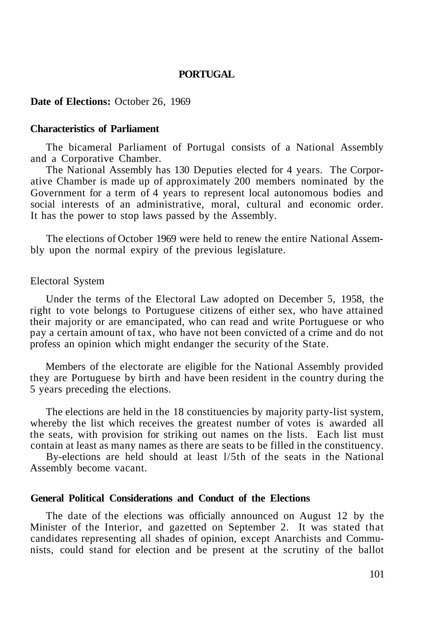## **PORTUGAL**

#### **Date of Elections:** October 26, 1969

### **Characteristics of Parliament**

The bicameral Parliament of Portugal consists of a National Assembly and a Corporative Chamber.

The National Assembly has 130 Deputies elected for 4 years. The Corporative Chamber is made up of approximately 200 members nominated by the Government for a term of 4 years to represent local autonomous bodies and social interests of an administrative, moral, cultural and economic order. It has the power to stop laws passed by the Assembly.

The elections of October 1969 were held to renew the entire National Assembly upon the normal expiry of the previous legislature.

#### Electoral System

Under the terms of the Electoral Law adopted on December 5, 1958, the right to vote belongs to Portuguese citizens of either sex, who have attained their majority or are emancipated, who can read and write Portuguese or who pay a certain amount of tax, who have not been convicted of a crime and do not profess an opinion which might endanger the security of the State.

Members of the electorate are eligible for the National Assembly provided they are Portuguese by birth and have been resident in the country during the 5 years preceding the elections.

The elections are held in the 18 constituencies by majority party-list system, whereby the list which receives the greatest number of votes is awarded all the seats, with provision for striking out names on the lists. Each list must contain at least as many names as there are seats to be filled in the constituency.

By-elections are held should at least l/5th of the seats in the National Assembly become vacant.

## **General Political Considerations and Conduct of the Elections**

The date of the elections was officially announced on August 12 by the Minister of the Interior, and gazetted on September 2. It was stated that candidates representing all shades of opinion, except Anarchists and Communists, could stand for election and be present at the scrutiny of the ballot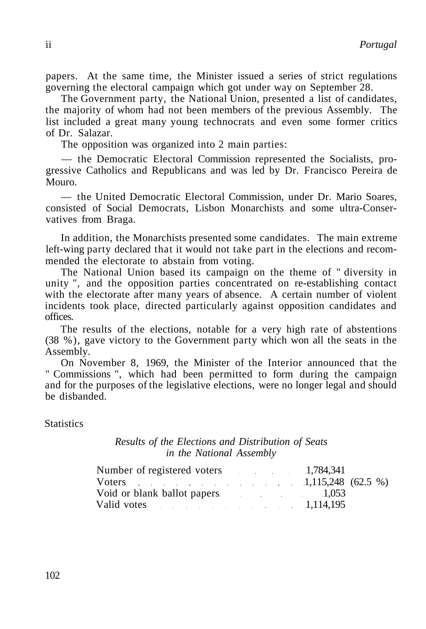The Government party, the National Union, presented a list of candidates, the majority of whom had not been members of the previous Assembly. The list included a great many young technocrats and even some former critics of Dr. Salazar.

The opposition was organized into 2 main parties:

— the Democratic Electoral Commission represented the Socialists, progressive Catholics and Republicans and was led by Dr. Francisco Pereira de Mouro.

— the United Democratic Electoral Commission, under Dr. Mario Soares, consisted of Social Democrats, Lisbon Monarchists and some ultra-Conservatives from Braga.

In addition, the Monarchists presented some candidates. The main extreme left-wing party declared that it would not take part in the elections and recommended the electorate to abstain from voting.

The National Union based its campaign on the theme of " diversity in unity ", and the opposition parties concentrated on re-establishing contact with the electorate after many years of absence. A certain number of violent incidents took place, directed particularly against opposition candidates and offices.

The results of the elections, notable for a very high rate of abstentions (38 %), gave victory to the Government party which won all the seats in the Assembly.

On November 8, 1969, the Minister of the Interior announced that the " Commissions ", which had been permitted to form during the campaign and for the purposes of the legislative elections, were no longer legal and should be disbanded.

**Statistics** 

# *Results of the Elections and Distribution of Seats in the National Assembly*

| Number of registered voters 1,784,341 |  |  |  |
|---------------------------------------|--|--|--|
| Voters $1,115,248$ (62.5 %)           |  |  |  |
| Void or blank ballot papers 1,053     |  |  |  |
| Valid votes 1,114,195                 |  |  |  |